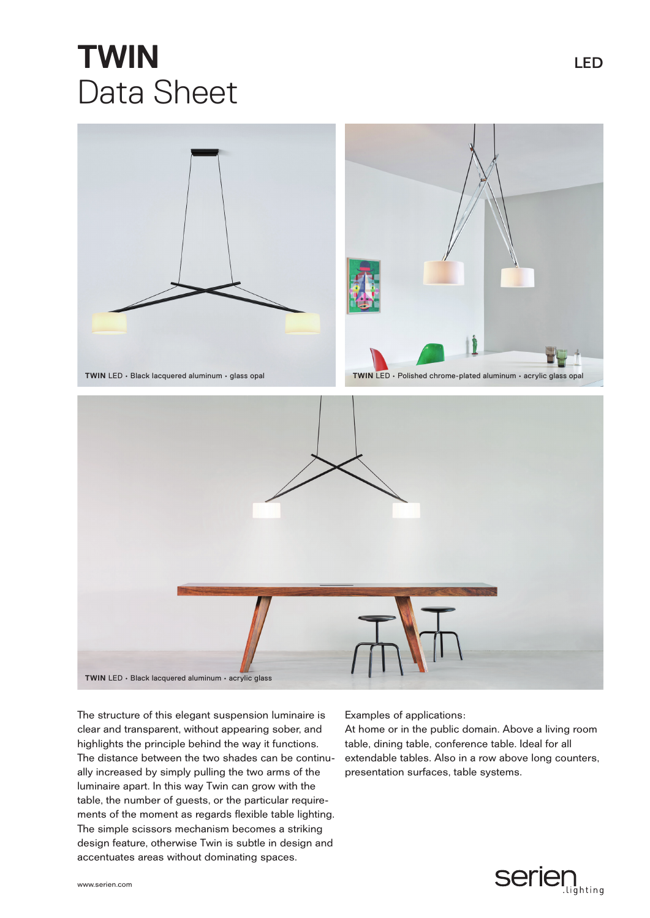## **TWIN** LED Data Sheet



The structure of this elegant suspension luminaire is clear and transparent, without appearing sober, and highlights the principle behind the way it functions. The distance between the two shades can be continually increased by simply pulling the two arms of the luminaire apart. In this way Twin can grow with the table, the number of guests, or the particular requirements of the moment as regards flexible table lighting. The simple scissors mechanism becomes a striking design feature, otherwise Twin is subtle in design and accentuates areas without dominating spaces.

Examples of applications:

At home or in the public domain. Above a living room table, dining table, conference table. Ideal for all extendable tables. Also in a row above long counters, presentation surfaces, table systems.

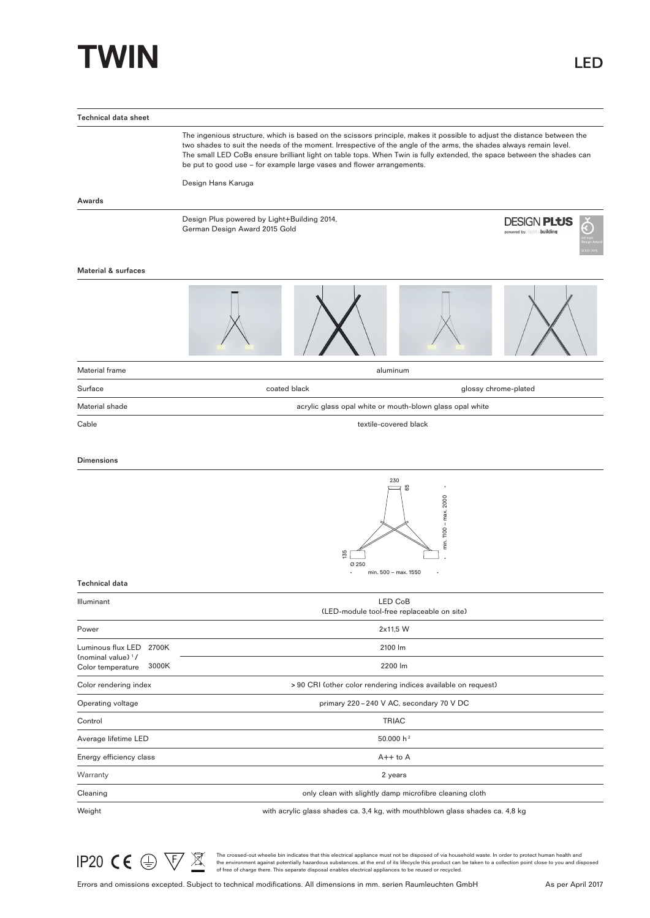## **TWIN** LED

| <b>Technical data sheet</b>                                  |                                                                                                                                                                                                                                                                                                                                                                                                                                                  |                                                          |                                                  |  |  |  |  |
|--------------------------------------------------------------|--------------------------------------------------------------------------------------------------------------------------------------------------------------------------------------------------------------------------------------------------------------------------------------------------------------------------------------------------------------------------------------------------------------------------------------------------|----------------------------------------------------------|--------------------------------------------------|--|--|--|--|
|                                                              | The ingenious structure, which is based on the scissors principle, makes it possible to adjust the distance between the<br>two shades to suit the needs of the moment. Irrespective of the angle of the arms, the shades always remain level.<br>The small LED CoBs ensure brilliant light on table tops. When Twin is fully extended, the space between the shades can<br>be put to good use - for example large vases and flower arrangements. |                                                          |                                                  |  |  |  |  |
|                                                              | Design Hans Karuga                                                                                                                                                                                                                                                                                                                                                                                                                               |                                                          |                                                  |  |  |  |  |
| Awards                                                       |                                                                                                                                                                                                                                                                                                                                                                                                                                                  |                                                          |                                                  |  |  |  |  |
|                                                              | Design Plus powered by Light+Building 2014,<br>German Design Award 2015 Gold                                                                                                                                                                                                                                                                                                                                                                     |                                                          | <b>DESIGN PLUS</b><br>powered by: light+building |  |  |  |  |
| <b>Material &amp; surfaces</b>                               |                                                                                                                                                                                                                                                                                                                                                                                                                                                  |                                                          |                                                  |  |  |  |  |
|                                                              |                                                                                                                                                                                                                                                                                                                                                                                                                                                  |                                                          |                                                  |  |  |  |  |
| Material frame                                               |                                                                                                                                                                                                                                                                                                                                                                                                                                                  | aluminum                                                 |                                                  |  |  |  |  |
| Surface                                                      | coated black                                                                                                                                                                                                                                                                                                                                                                                                                                     |                                                          | glossy chrome-plated                             |  |  |  |  |
| Material shade                                               |                                                                                                                                                                                                                                                                                                                                                                                                                                                  | acrylic glass opal white or mouth-blown glass opal white |                                                  |  |  |  |  |
| Cable                                                        | textile-covered black                                                                                                                                                                                                                                                                                                                                                                                                                            |                                                          |                                                  |  |  |  |  |
| <b>Dimensions</b>                                            |                                                                                                                                                                                                                                                                                                                                                                                                                                                  |                                                          |                                                  |  |  |  |  |
|                                                              | 230<br>65<br>min. 1100 - max. 2000<br>135<br>Ø 250                                                                                                                                                                                                                                                                                                                                                                                               |                                                          |                                                  |  |  |  |  |
| <b>Technical data</b>                                        |                                                                                                                                                                                                                                                                                                                                                                                                                                                  | min. 500 - max. 1550                                     |                                                  |  |  |  |  |
| Illuminant                                                   | LED CoB<br>(LED-module tool-free replaceable on site)                                                                                                                                                                                                                                                                                                                                                                                            |                                                          |                                                  |  |  |  |  |
| Power                                                        | 2x11,5 W                                                                                                                                                                                                                                                                                                                                                                                                                                         |                                                          |                                                  |  |  |  |  |
| Luminous flux LED 2700K                                      | 2100 lm                                                                                                                                                                                                                                                                                                                                                                                                                                          |                                                          |                                                  |  |  |  |  |
| (nominal value) <sup>1</sup> /<br>3000K<br>Color temperature | 2200 lm                                                                                                                                                                                                                                                                                                                                                                                                                                          |                                                          |                                                  |  |  |  |  |
| Color rendering index                                        | > 90 CRI (other color rendering indices available on request)                                                                                                                                                                                                                                                                                                                                                                                    |                                                          |                                                  |  |  |  |  |
| Operating voltage                                            | primary 220-240 V AC, secondary 70 V DC                                                                                                                                                                                                                                                                                                                                                                                                          |                                                          |                                                  |  |  |  |  |
| Control                                                      | <b>TRIAC</b>                                                                                                                                                                                                                                                                                                                                                                                                                                     |                                                          |                                                  |  |  |  |  |
| Average lifetime LED                                         |                                                                                                                                                                                                                                                                                                                                                                                                                                                  | 50.000 h <sup>2</sup>                                    |                                                  |  |  |  |  |
| Energy efficiency class                                      | $A++$ to $A$                                                                                                                                                                                                                                                                                                                                                                                                                                     |                                                          |                                                  |  |  |  |  |
| Warranty                                                     |                                                                                                                                                                                                                                                                                                                                                                                                                                                  | 2 years                                                  |                                                  |  |  |  |  |
| Cleaning                                                     | only clean with slightly damp microfibre cleaning cloth                                                                                                                                                                                                                                                                                                                                                                                          |                                                          |                                                  |  |  |  |  |
| Weight                                                       | with acrylic glass shades ca. 3,4 kg, with mouthblown glass shades ca. 4,8 kg                                                                                                                                                                                                                                                                                                                                                                    |                                                          |                                                  |  |  |  |  |



The crossed-out wheelie bin indicates that this electrical appliance must not be disposed of via household waste. In order to protect human health and<br>of the environment against potentially hazardous substances, at the end